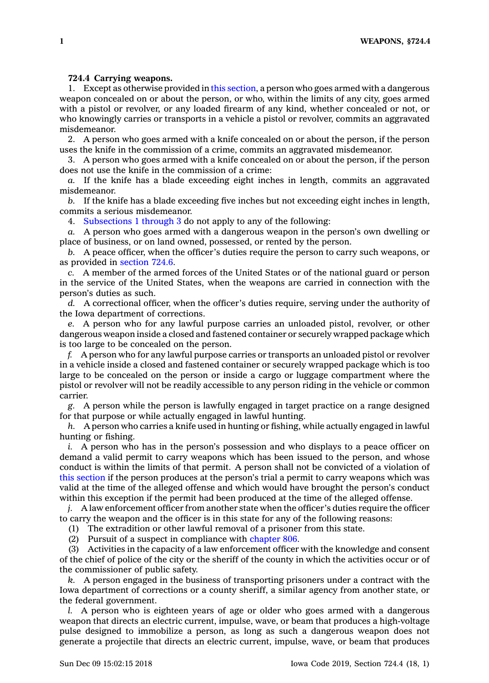## **724.4 Carrying weapons.**

1. Except as otherwise provided in this [section](https://www.legis.iowa.gov/docs/code/724.4.pdf), <sup>a</sup> person who goes armed with <sup>a</sup> dangerous weapon concealed on or about the person, or who, within the limits of any city, goes armed with <sup>a</sup> pistol or revolver, or any loaded firearm of any kind, whether concealed or not, or who knowingly carries or transports in <sup>a</sup> vehicle <sup>a</sup> pistol or revolver, commits an aggravated misdemeanor.

2. A person who goes armed with <sup>a</sup> knife concealed on or about the person, if the person uses the knife in the commission of <sup>a</sup> crime, commits an aggravated misdemeanor.

3. A person who goes armed with <sup>a</sup> knife concealed on or about the person, if the person does not use the knife in the commission of <sup>a</sup> crime:

*a.* If the knife has <sup>a</sup> blade exceeding eight inches in length, commits an aggravated misdemeanor.

*b.* If the knife has <sup>a</sup> blade exceeding five inches but not exceeding eight inches in length, commits <sup>a</sup> serious misdemeanor.

4. [Subsections](https://www.legis.iowa.gov/docs/code/724.4.pdf) 1 through 3 do not apply to any of the following:

*a.* A person who goes armed with <sup>a</sup> dangerous weapon in the person's own dwelling or place of business, or on land owned, possessed, or rented by the person.

*b.* A peace officer, when the officer's duties require the person to carry such weapons, or as provided in [section](https://www.legis.iowa.gov/docs/code/724.6.pdf) 724.6.

*c.* A member of the armed forces of the United States or of the national guard or person in the service of the United States, when the weapons are carried in connection with the person's duties as such.

*d.* A correctional officer, when the officer's duties require, serving under the authority of the Iowa department of corrections.

*e.* A person who for any lawful purpose carries an unloaded pistol, revolver, or other dangerous weapon inside <sup>a</sup> closed and fastened container or securely wrapped package which is too large to be concealed on the person.

*f.* A person who for any lawful purpose carries or transports an unloaded pistol or revolver in <sup>a</sup> vehicle inside <sup>a</sup> closed and fastened container or securely wrapped package which is too large to be concealed on the person or inside <sup>a</sup> cargo or luggage compartment where the pistol or revolver will not be readily accessible to any person riding in the vehicle or common carrier.

*g.* A person while the person is lawfully engaged in target practice on <sup>a</sup> range designed for that purpose or while actually engaged in lawful hunting.

*h.* A person who carries <sup>a</sup> knife used in hunting or fishing, while actually engaged in lawful hunting or fishing.

*i.* A person who has in the person's possession and who displays to <sup>a</sup> peace officer on demand <sup>a</sup> valid permit to carry weapons which has been issued to the person, and whose conduct is within the limits of that permit. A person shall not be convicted of <sup>a</sup> violation of this [section](https://www.legis.iowa.gov/docs/code/724.4.pdf) if the person produces at the person's trial <sup>a</sup> permit to carry weapons which was valid at the time of the alleged offense and which would have brought the person's conduct within this exception if the permit had been produced at the time of the alleged offense.

*j.* A law enforcement officer from another state when the officer's duties require the officer to carry the weapon and the officer is in this state for any of the following reasons:

(1) The extradition or other lawful removal of <sup>a</sup> prisoner from this state.

(2) Pursuit of <sup>a</sup> suspect in compliance with [chapter](https://www.legis.iowa.gov/docs/code//806.pdf) 806.

(3) Activities in the capacity of <sup>a</sup> law enforcement officer with the knowledge and consent of the chief of police of the city or the sheriff of the county in which the activities occur or of the commissioner of public safety.

*k.* A person engaged in the business of transporting prisoners under <sup>a</sup> contract with the Iowa department of corrections or <sup>a</sup> county sheriff, <sup>a</sup> similar agency from another state, or the federal government.

*l.* A person who is eighteen years of age or older who goes armed with <sup>a</sup> dangerous weapon that directs an electric current, impulse, wave, or beam that produces <sup>a</sup> high-voltage pulse designed to immobilize <sup>a</sup> person, as long as such <sup>a</sup> dangerous weapon does not generate <sup>a</sup> projectile that directs an electric current, impulse, wave, or beam that produces